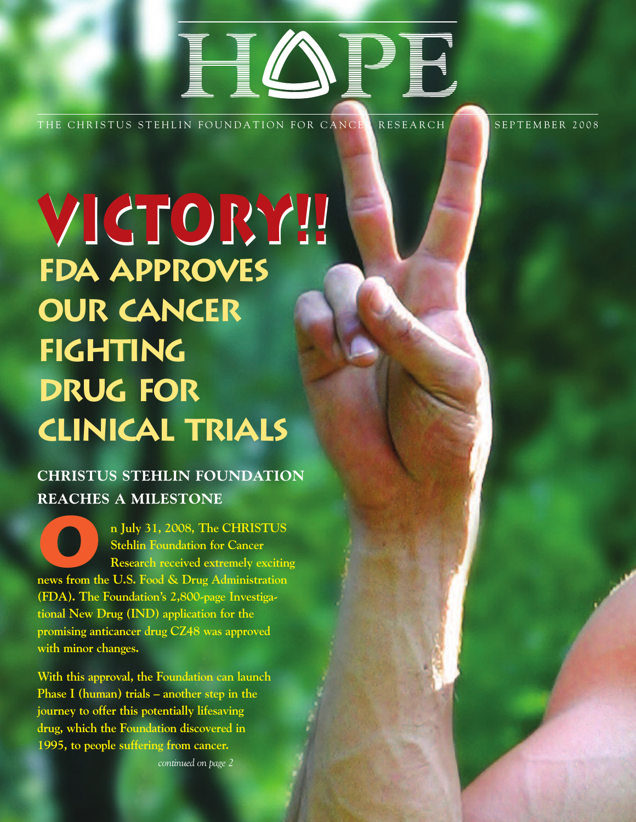# HOTEL COMMUNICATION

THE CHRISTUS STEHLIN FOUNDATION FOR CANCER RESEARCH SEPTEMBER 2008

**VICTORY!! VICTORY!! FDA Approves Our Cancer Fighting Drug for Clinical Trials**

# **CHRISTUS STEHLIN FOUNDATION REACHES A MILESTONE**

**On July 31, 2008, The CHRISTUS Stehlin Foundation for Cancer Research received extremely exciting news from the U.S. Food & Drug Administration (FDA). The Foundation's 2,800-page Investigational New Drug (IND) application for the promising anticancer drug CZ48 was approved with minor changes.** 

**With this approval, the Foundation can launch Phase I (human) trials – another step in the journey to offer this potentially lifesaving drug, which the Foundation discovered in 1995, to people suffering from cancer.**

*continued on page 2*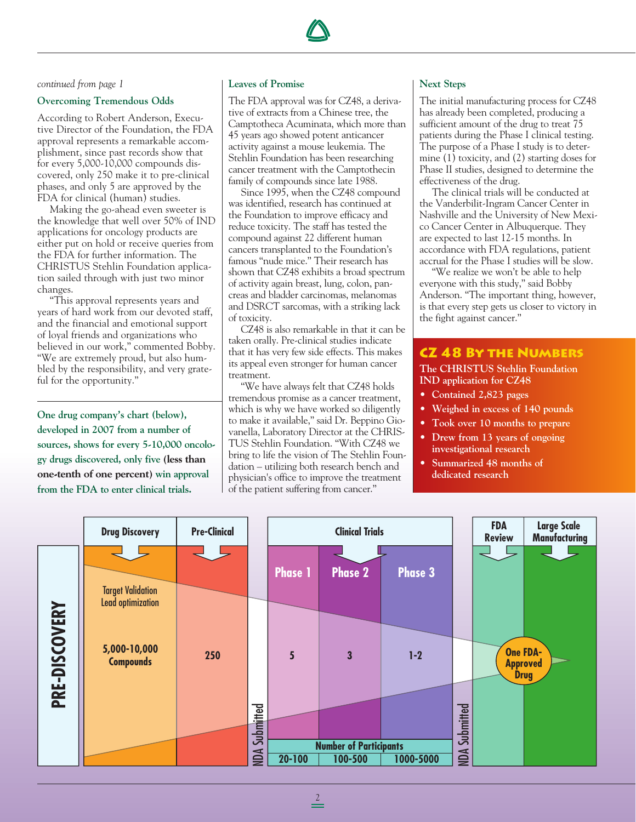

*continued from page 1*

#### **Overcoming Tremendous Odds**

According to Robert Anderson, Executive Director of the Foundation, the FDA approval represents a remarkable accomplishment, since past records show that for every 5,000-10,000 compounds discovered, only 250 make it to pre-clinical phases, and only 5 are approved by the FDA for clinical (human) studies.

Making the go-ahead even sweeter is the knowledge that well over 50% of IND applications for oncology products are either put on hold or receive queries from the FDA for further information. The CHRISTUS Stehlin Foundation application sailed through with just two minor changes.

"This approval represents years and years of hard work from our devoted staff, and the financial and emotional support of loyal friends and organizations who believed in our work," commented Bobby. "We are extremely proud, but also humbled by the responsibility, and very grateful for the opportunity."

**One drug company's chart (below), developed in 2007 from a number of sources, shows for every 5-10,000 oncology drugs discovered, only five (less than one-tenth of one percent) win approval from the FDA to enter clinical trials.** 

#### **Leaves of Promise**

The FDA approval was for CZ48, a derivative of extracts from a Chinese tree, the Camptotheca Acuminata, which more than 45 years ago showed potent anticancer activity against a mouse leukemia. The Stehlin Foundation has been researching cancer treatment with the Camptothecin family of compounds since late 1988.

Since 1995, when the CZ48 compound was identified, research has continued at the Foundation to improve efficacy and reduce toxicity. The staff has tested the compound against 22 different human cancers transplanted to the Foundation's famous "nude mice." Their research has shown that CZ48 exhibits a broad spectrum of activity again breast, lung, colon, pancreas and bladder carcinomas, melanomas and DSRCT sarcomas, with a striking lack of toxicity.

CZ48 is also remarkable in that it can be taken orally. Pre-clinical studies indicate that it has very few side effects. This makes its appeal even stronger for human cancer treatment.

"We have always felt that CZ48 holds tremendous promise as a cancer treatment, which is why we have worked so diligently to make it available," said Dr. Beppino Giovanella, Laboratory Director at the CHRIS-TUS Stehlin Foundation. "With CZ48 we bring to life the vision of The Stehlin Foundation – utilizing both research bench and physician's office to improve the treatment of the patient suffering from cancer."

#### **Next Steps**

The initial manufacturing process for CZ48 has already been completed, producing a sufficient amount of the drug to treat 75 patients during the Phase I clinical testing. The purpose of a Phase I study is to determine (1) toxicity, and (2) starting doses for Phase II studies, designed to determine the effectiveness of the drug.

The clinical trials will be conducted at the Vanderbilit-Ingram Cancer Center in Nashville and the University of New Mexico Cancer Center in Albuquerque. They are expected to last 12-15 months. In accordance with FDA regulations, patient accrual for the Phase I studies will be slow.

"We realize we won't be able to help everyone with this study," said Bobby Anderson. "The important thing, however, is that every step gets us closer to victory in the fight against cancer."

### **CZ 48 By the Numbers**

#### **The CHRISTUS Stehlin Foundation IND application for CZ48**

- **• Contained 2,823 pages**
- **• Weighed in excess of 140 pounds**
- **Took over 10 months to prepare**
- **Drew from 13 years of ongoing investigational research**
- **Summarized 48 months of dedicated research**

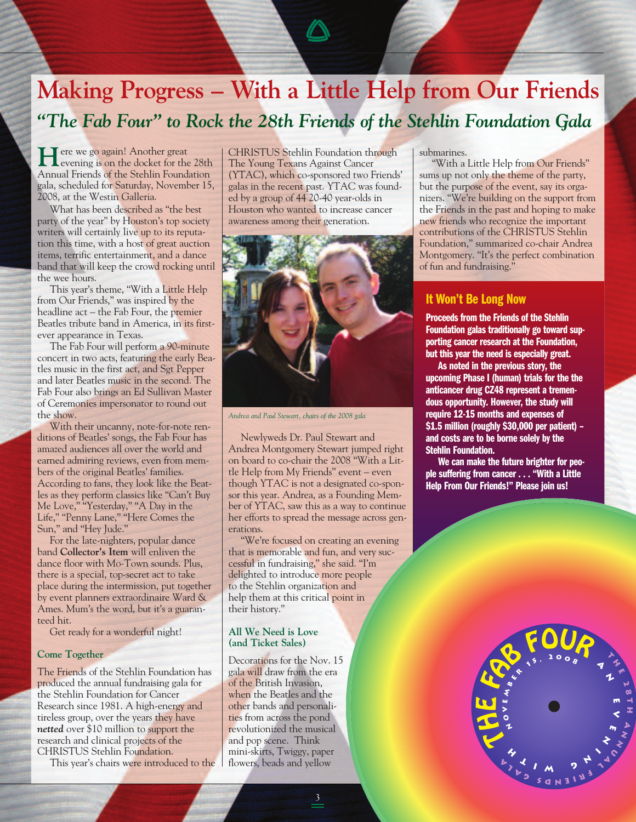# **Making Progress – With a Little Help from Our Friends** *"The Fab Four" to Rock the 28th Friends of the Stehlin Foundation Gala*

**H**ere we go again! Another great<br>evening is on the docket for the 28th Annual Friends of the Stehlin Foundation gala, scheduled for Saturday, November 15, 2008, at the Westin Galleria.

What has been described as "the best party of the year" by Houston's top society writers will certainly live up to its reputation this time, with a host of great auction items, terrific entertainment, and a dance band that will keep the crowd rocking until the wee hours.

This year's theme, "With a Little Help from Our Friends," was inspired by the headline act – the Fab Four, the premier Beatles tribute band in America, in its firstever appearance in Texas.

The Fab Four will perform a 90-minute concert in two acts, featuring the early Beatles music in the first act, and Sgt Pepper and later Beatles music in the second. The Fab Four also brings an Ed Sullivan Master of Ceremonies impersonator to round out the show.

With their uncanny, note-for-note renditions of Beatles' songs, the Fab Four has amazed audiences all over the world and earned admiring reviews, even from members of the original Beatles' families. According to fans, they look like the Beatles as they perform classics like "Can't Buy Me Love," "Yesterday," "A Day in the Life," "Penny Lane," "Here Comes the Sun," and "Hey Jude."

For the late-nighters, popular dance band **Collector's Item** will enliven the dance floor with Mo-Town sounds. Plus, there is a special, top-secret act to take place during the intermission, put together by event planners extraordinaire Ward & Ames. Mum's the word, but it's a guaranteed hit.

Get ready for a wonderful night!

#### **Come Together**

The Friends of the Stehlin Foundation has produced the annual fundraising gala for the Stehlin Foundation for Cancer Research since 1981. A high-energy and tireless group, over the years they have *netted* over \$10 million to support the research and clinical projects of the CHRISTUS Stehlin Foundation.

This year's chairs were introduced to the

CHRISTUS Stehlin Foundation through The Young Texans Against Cancer (YTAC), which co-sponsored two Friends' galas in the recent past. YTAC was founded by a group of 44 20-40 year-olds in Houston who wanted to increase cancer awareness among their generation.



*Andrea and Paul Stewart, chairs of the 2008 gala*

Newlyweds Dr. Paul Stewart and Andrea Montgomery Stewart jumped right on board to co-chair the 2008 "With a Little Help from My Friends" event – even though YTAC is not a designated co-sponsor this year. Andrea, as a Founding Member of YTAC, saw this as a way to continue her efforts to spread the message across generations.

"We're focused on creating an evening that is memorable and fun, and very successful in fundraising," she said. "I'm delighted to introduce more people to the Stehlin organization and help them at this critical point in their history."

#### **All We Need is Love (and Ticket Sales)**

Decorations for the Nov. 15 gala will draw from the era of the British Invasion, when the Beatles and the other bands and personalities from across the pond revolutionized the musical and pop scene. Think mini-skirts, Twiggy, paper flowers, beads and yellow

3

#### submarines.

"With a Little Help from Our Friends" sums up not only the theme of the party, but the purpose of the event, say its organizers. "We're building on the support from the Friends in the past and hoping to make new friends who recognize the important contributions of the CHRISTUS Stehlin Foundation," summarized co-chair Andrea Montgomery. "It's the perfect combination of fun and fundraising."

#### **It Won't Be Long Now**

**Proceeds from the Friends of the Stehlin Foundation galas traditionally go toward supporting cancer research at the Foundation, but this year the need is especially great.** 

**As noted in the previous story, the upcoming Phase I (human) trials for the the anticancer drug CZ48 represent a tremendous opportunity. However, the study will require 12-15 months and expenses of \$1.5 million (roughly \$30,000 per patient) – and costs are to be borne solely by the Stehlin Foundation.** 

**We can make the future brighter for people suffering from cancer . . . "With a Little Help From Our Friends!" Please join us!**